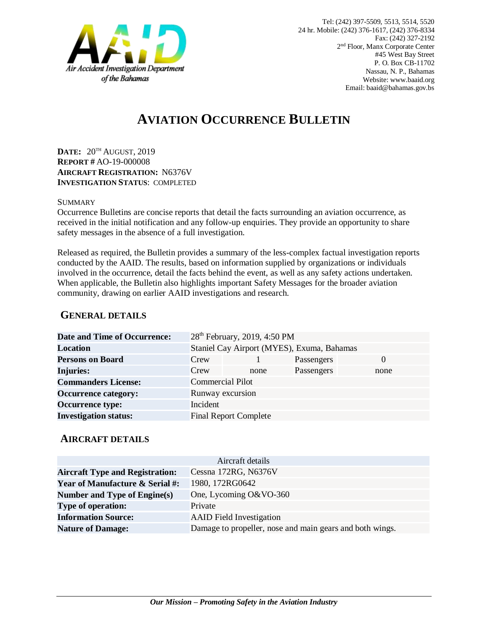

# **AVIATION OCCURRENCE BULLETIN**

**DATE:** 20TH AUGUST, 2019 **REPORT #** AO-19-000008 **AIRCRAFT REGISTRATION:** N6376V **INVESTIGATION STATUS**: COMPLETED

#### SUMMARY

Occurrence Bulletins are concise reports that detail the facts surrounding an aviation occurrence, as received in the initial notification and any follow-up enquiries. They provide an opportunity to share safety messages in the absence of a full investigation*.*

Released as required, the Bulletin provides a summary of the less-complex factual investigation reports conducted by the AAID. The results, based on information supplied by organizations or individuals involved in the occurrence, detail the facts behind the event, as well as any safety actions undertaken. When applicable, the Bulletin also highlights important Safety Messages for the broader aviation community, drawing on earlier AAID investigations and research.

### **GENERAL DETAILS**

| Date and Time of Occurrence: |                         | 28 <sup>th</sup> February, 2019, 4:50 PM   |            |          |
|------------------------------|-------------------------|--------------------------------------------|------------|----------|
| <b>Location</b>              |                         | Staniel Cay Airport (MYES), Exuma, Bahamas |            |          |
| <b>Persons on Board</b>      | Crew                    |                                            | Passengers | $\theta$ |
| <b>Injuries:</b>             | Crew                    | none                                       | Passengers | none     |
| <b>Commanders License:</b>   | <b>Commercial Pilot</b> |                                            |            |          |
| <b>Occurrence category:</b>  |                         | Runway excursion                           |            |          |
| <b>Occurrence type:</b>      | Incident                |                                            |            |          |
| <b>Investigation status:</b> |                         | <b>Final Report Complete</b>               |            |          |

#### **AIRCRAFT DETAILS**

| Aircraft details                           |                                                          |  |  |  |
|--------------------------------------------|----------------------------------------------------------|--|--|--|
| <b>Aircraft Type and Registration:</b>     | Cessna 172RG, N6376V                                     |  |  |  |
| <b>Year of Manufacture &amp; Serial #:</b> | 1980, 172RG0642                                          |  |  |  |
| Number and Type of Engine(s)               | One, Lycoming O&VO-360                                   |  |  |  |
| <b>Type of operation:</b>                  | Private                                                  |  |  |  |
| <b>Information Source:</b>                 | <b>AAID</b> Field Investigation                          |  |  |  |
| <b>Nature of Damage:</b>                   | Damage to propeller, nose and main gears and both wings. |  |  |  |